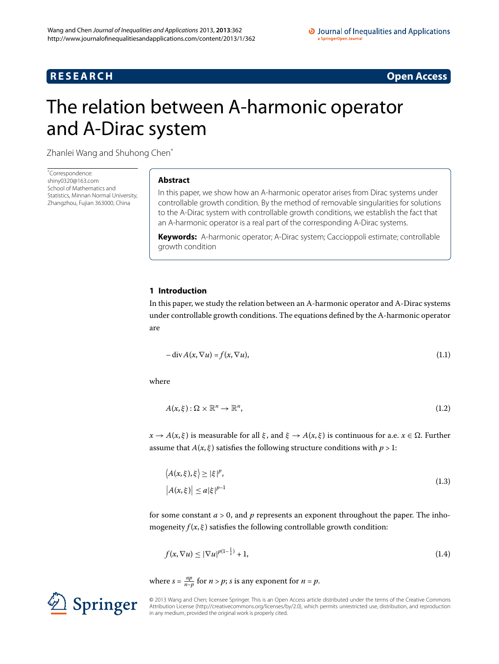## **RESEARCH** Open Access

<span id="page-0-1"></span>

# <span id="page-0-0"></span>The relation between A-harmonic operator and A-Dirac system

Zhanlei Wang and Shuhong Chen[\\*](#page-0-0)

\* Correspondence: [shiny0320@163.com](mailto:shiny0320@163.com) School of Mathematics and Statistics, Minnan Normal University, Zhangzhou, Fujian 363000, China

## **Abstract**

In this paper, we show how an A-harmonic operator arises from Dirac systems under controllable growth condition. By the method of removable singularities for solutions to the A-Dirac system with controllable growth conditions, we establish the fact that an A-harmonic operator is a real part of the corresponding A-Dirac systems.

**Keywords:** A-harmonic operator; A-Dirac system; Caccioppoli estimate; controllable growth condition

## **1 Introduction**

In this paper, we study the relation between an A-harmonic operator and A-Dirac systems under controllable growth conditions. The equations defined by the A-harmonic operator are

$$
- \operatorname{div} A(x, \nabla u) = f(x, \nabla u), \tag{1.1}
$$

where

<span id="page-0-2"></span>
$$
A(x,\xi): \Omega \times \mathbb{R}^n \to \mathbb{R}^n, \tag{1.2}
$$

 $x \to A(x, \xi)$  is measurable for all  $\xi$ , and  $\xi \to A(x, \xi)$  is continuous for a.e.  $x \in \Omega$ . Further assume that  $A(x, \xi)$  satisfies the following structure conditions with  $p > 1$ :

<span id="page-0-3"></span>
$$
\langle A(x,\xi),\xi \rangle \ge |\xi|^p,
$$
  
\n
$$
|A(x,\xi)| \le a|\xi|^{p-1}
$$
\n(1.3)

for some constant  $a > 0$ , and  $p$  represents an exponent throughout the paper. The inhomogeneity  $f(x,\xi)$  satisfies the following controllable growth condition:

$$
f(x,\nabla u) \leq |\nabla u|^{p(1-\frac{1}{s})} + 1,\tag{1.4}
$$

where  $s = \frac{np}{n-p}$  for  $n > p$ ; *s* is any exponent for  $n = p$ .



© 2013 Wang and Chen; licensee Springer. This is an Open Access article distributed under the terms of the Creative Commons Attribution License [\(http://creativecommons.org/licenses/by/2.0](http://creativecommons.org/licenses/by/2.0)), which permits unrestricted use, distribution, and reproduction in any medium, provided the original work is properly cited.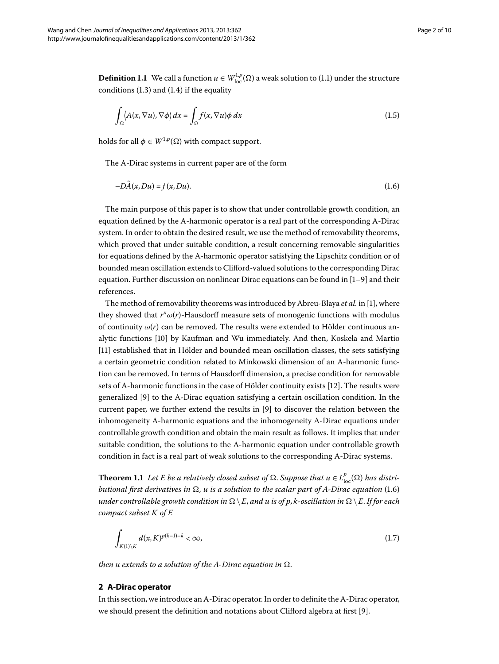**Definition 1.1** We call a function  $u \in W^{1,p}_{\text{loc}}(\Omega)$  a weak solution to (1.1) under the structure conditions  $(1.3)$  $(1.3)$  $(1.3)$  and  $(1.4)$  if the equality

<span id="page-1-1"></span><span id="page-1-0"></span>
$$
\int_{\Omega} \langle A(x, \nabla u), \nabla \phi \rangle dx = \int_{\Omega} f(x, \nabla u) \phi dx \tag{1.5}
$$

holds for all  $\phi \in W^{1,p}(\Omega)$  with compact support.

The A-Dirac systems in current paper are of the form

$$
-D\tilde{A}(x, Du) = f(x, Du). \tag{1.6}
$$

The main purpose of this paper is to show that under controllable growth condition, an equation defined by the A-harmonic operator is a real part of the corresponding A-Dirac system. In order to obtain the desired result, we use the method of removability theorems, which proved that under suitable condition, a result concerning removable singularities for equations defined by the A-harmonic operator satisfying the Lipschitz condition or of bounded mean oscillation extends to Clifford-valued solutions to the corresponding Dirac equation. Further discussion on nonlinear Dirac equations can be found in  $[1-9]$  $[1-9]$  and their references.

The method of removability theorems was introduced by Abreu-Blaya *et al.* in [\[](#page-9-0)], where they showed that  $r^n \omega(r)$ -Hausdorff measure sets of monogenic functions with modulus of continuity  $\omega(r)$  can be removed. The results were extended to Hölder continuous an-alytic functions [\[](#page-9-2)10] by Kaufman and Wu immediately. And then, Koskela and Martio [11[\]](#page-9-3) established that in Hölder and bounded mean oscillation classes, the sets satisfying a certain geometric condition related to Minkowski dimension of an A-harmonic function can be removed. In terms of Hausdorff dimension, a precise condition for removable sets of A-harmonic functions in the case of Hölder continuity exists [12]. The results were generalized [\[](#page-9-1)9] to the A-Dirac equation satisfying a certain oscillation condition. In the current paper, we further extend the results in [\[](#page-9-1)9] to discover the relation between the inhomogeneity A-harmonic equations and the inhomogeneity A-Dirac equations under controllable growth condition and obtain the main result as follows. It implies that under suitable condition, the solutions to the A-harmonic equation under controllable growth condition in fact is a real part of weak solutions to the corresponding A-Dirac systems.

<span id="page-1-2"></span>**Theorem 1.1** Let E be a relatively closed subset of  $\Omega$ . Suppose that  $u \in L^p_{\rm loc}(\Omega)$  has distri*butional first derivatives in*  $\Omega$ , *u is a solution to the scalar part of A-Dirac equation* (1.6) *under controllable growth condition in*  $\Omega \setminus E$ , *and u is of p*, *k*-oscillation in  $\Omega \setminus E$ . *If for each compact subset K of E*

$$
\int_{K(1)\setminus K} d(x, K)^{p(k-1)-k} < \infty,
$$
\n(1.7)

*then u extends to a solution of the A-Dirac equation in*  $\Omega$ *.* 

## **2 A-Dirac operator**

In this section, we introduce an A-Dirac operator. In order to definite the A-Dirac operator, we should present the definition and notations about Clifford algebra at first [9].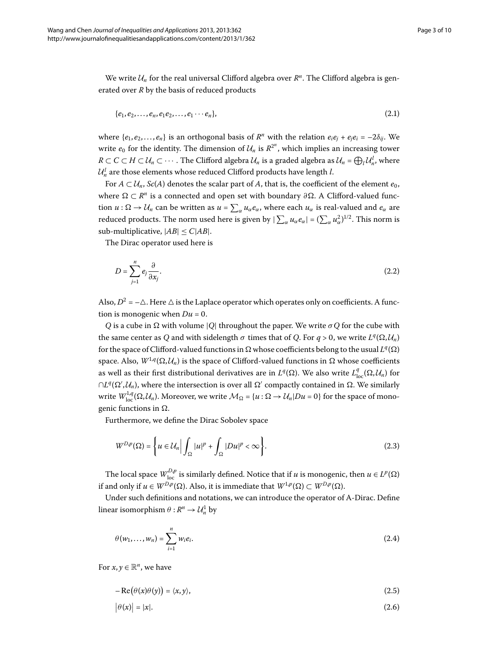We write  $\mathcal{U}_n$  for the real universal Clifford algebra over  $R^n$ . The Clifford algebra is generated over *R* by the basis of reduced products

$$
\{e_1, e_2, \ldots, e_n, e_1 e_2, \ldots, e_1 \cdots e_n\},\tag{2.1}
$$

where  ${e_1, e_2,..., e_n}$  is an orthogonal basis of  $R^n$  with the relation  $e_i e_j + e_j e_i = -2\delta_{ij}$ . We write  $e_0$  for the identity. The dimension of  $\mathcal{U}_n$  is  $\mathbb{R}^{2^n}$ , which implies an increasing tower *R* ⊂ *C* ⊂ *H* ⊂  $U_n$  ⊂ ··· . The Clifford algebra  $U_n$  is a graded algebra as  $U_n$  =  $\bigoplus_l U_n^l$ , where  $\mathcal{U}_n^l$  are those elements whose reduced Clifford products have length *l*.

For  $A \subset \mathcal{U}_n$ ,  $Sc(A)$  denotes the scalar part of A, that is, the coefficient of the element  $e_0$ , where  $Ω ⊂ R<sup>n</sup>$  is a connected and open set with boundary  $∂Ω$ . A Clifford-valued function  $u : \Omega \to U_n$  can be written as  $u = \sum_{\alpha} u_{\alpha} e_{\alpha}$ , where each  $u_{\alpha}$  is real-valued and  $e_{\alpha}$  are reduced products. The norm used here is given by  $|\sum_{\alpha}u_\alpha e_\alpha|=(\sum_{\alpha}u_\alpha^2)^{1/2}.$  This norm is sub-multiplicative,  $|AB| \leq C|AB|$ .

The Dirac operator used here is

$$
D = \sum_{j=1}^{n} e_j \frac{\partial}{\partial x_j}.
$$
 (2.2)

Also,  $D^2 = -\Delta$ . Here  $\Delta$  is the Laplace operator which operates only on coefficients. A function is monogenic when  $Du = 0$ .

*Q* is a cube in  $\Omega$  with volume |*Q*| throughout the paper. We write  $\sigma$ *Q* for the cube with the same center as *Q* and with sidelength  $\sigma$  times that of *Q*. For  $q > 0$ , we write  $L^q(\Omega, \mathcal{U}_n)$ for the space of Clifford-valued functions in  $\Omega$  whose coefficients belong to the usual  $L^q(\Omega)$ space. Also,  $W^{1,q}(\Omega, \mathcal{U}_n)$  is the space of Clifford-valued functions in  $\Omega$  whose coefficients as well as their first distributional derivatives are in  $L^q(\Omega)$ . We also write  $L^q_{\text{loc}}(\Omega, \mathcal{U}_n)$  for  $\cap L^q(\Omega',\mathcal{U}_n)$ , where the intersection is over all  $\Omega'$  compactly contained in  $\Omega$ . We similarly write  $W^{1,q}_{\text{loc}}(\Omega, \mathcal{U}_n)$ . Moreover, we write  $\mathcal{M}_\Omega$  = { $u : \Omega \to \mathcal{U}_n|Du = 0$ } for the space of monogenic functions in  $\Omega$ .

Furthermore, we define the Dirac Sobolev space

$$
W^{D,p}(\Omega) = \left\{ u \in \mathcal{U}_n \middle| \int_{\Omega} |u|^p + \int_{\Omega} |Du|^p < \infty \right\}.
$$
\n(2.3)

The local space  $W_{\text{loc}}^{D,p}$  is similarly defined. Notice that if *u* is monogenic, then  $u \in L^p(\Omega)$ if and only if  $u \in W^{D,p}(\Omega)$ . Also, it is immediate that  $W^{1,p}(\Omega) \subset W^{D,p}(\Omega)$ .

Under such definitions and notations, we can introduce the operator of A-Dirac. Define linear isomorphism  $\theta : R^n \to \mathcal{U}_n^1$  by

$$
\theta(w_1, ..., w_n) = \sum_{i=1}^n w_i e_i.
$$
\n(2.4)

For  $x, y \in \mathbb{R}^n$ , we have

$$
-Re(\theta(x)\theta(y)) = \langle x, y \rangle, \tag{2.5}
$$

$$
|\theta(x)| = |x|. \tag{2.6}
$$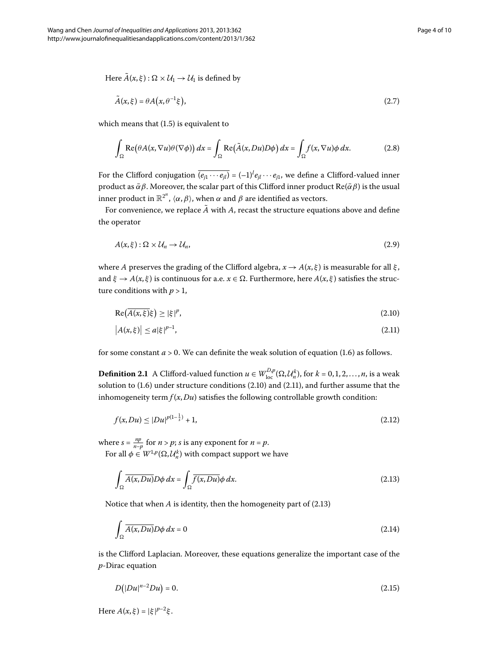Here  $\tilde{A}(x,\xi): \Omega \times U_1 \rightarrow U_1$  is defined by

$$
\tilde{A}(x,\xi) = \theta A\big(x,\theta^{-1}\xi\big),\tag{2.7}
$$

which means that  $(1.5)$  $(1.5)$  $(1.5)$  is equivalent to

$$
\int_{\Omega} \text{Re}(\theta A(x, \nabla u)\theta(\nabla \phi)) dx = \int_{\Omega} \text{Re}(\tilde{A}(x, Du)D\phi) dx = \int_{\Omega} f(x, \nabla u)\phi dx.
$$
 (2.8)

For the Clifford conjugation  $\overline{(e_{j1} \cdots e_{jl})} = (-1)^l e_{jl} \cdots e_{j1}$ , we define a Clifford-valued inner product as  $\bar{\alpha}\beta$ . Moreover, the scalar part of this Clifford inner product Re( $\bar{\alpha}\beta$ ) is the usual inner product in  $\mathbb{R}^{2^n}$ ,  $\langle \alpha, \beta \rangle$ , when  $\alpha$  and  $\beta$  are identified as vectors.

For convenience, we replace  $\tilde{A}$  with  $A$ , recast the structure equations above and define the operator

<span id="page-3-1"></span><span id="page-3-0"></span>
$$
A(x,\xi):\Omega\times\mathcal{U}_n\to\mathcal{U}_n,\tag{2.9}
$$

where *A* preserves the grading of the Clifford algebra,  $x \rightarrow A(x, \xi)$  is measurable for all  $\xi$ , and  $\xi \to A(x, \xi)$  is continuous for a.e.  $x \in \Omega$ . Furthermore, here  $A(x, \xi)$  satisfies the structure conditions with  $p > 1$ ,

<span id="page-3-5"></span>
$$
\operatorname{Re}\left(\overline{A(x,\xi)}\xi\right) \ge |\xi|^p,\tag{2.10}
$$

<span id="page-3-4"></span>
$$
\left| A(x,\xi) \right| \le a |\xi|^{p-1},\tag{2.11}
$$

for some constant  $a > 0$ . We can definite the weak solution of equation (1.6) as follows.

**Definition 2.1** A Clifford-valued function  $u \in W^{D,p}_{loc}(\Omega, \mathcal{U}^k_n)$ , for  $k = 0, 1, 2, ..., n$ , is a weak solution to  $(1.6)$  $(1.6)$  $(1.6)$  under structure conditions  $(2.10)$  and  $(2.11)$ , and further assume that the inhomogeneity term  $f(x, Du)$  satisfies the following controllable growth condition:

<span id="page-3-2"></span>
$$
f(x, Du) \le |Du|^{p(1-\frac{1}{s})} + 1,\tag{2.12}
$$

where  $s = \frac{np}{n-p}$  for  $n > p$ ; *s* is any exponent for  $n = p$ .

For all  $\phi \in W^{1,p}(\Omega, \mathcal{U}_n^k)$  with compact support we have

<span id="page-3-3"></span>
$$
\int_{\Omega} \overline{A(x, Du)} D\phi \, dx = \int_{\Omega} \overline{f(x, Du)} \phi \, dx. \tag{2.13}
$$

Notice that when  $A$  is identity, then the homogeneity part of  $(2.13)$ 

$$
\int_{\Omega} \overline{A(x, Du)} D\phi \, dx = 0 \tag{2.14}
$$

is the Clifford Laplacian. Moreover, these equations generalize the important case of the *p*-Dirac equation

$$
D(|Du|^{n-2}Du) = 0.\t(2.15)
$$

 $Here A(x, \xi) = |\xi|^{p-2}\xi.$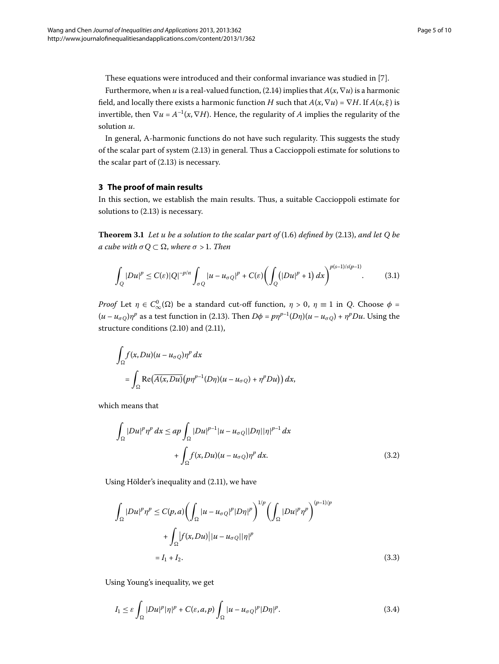These equations were introduced and their conformal invariance was studied in [\[](#page-9-5)7].

Furthermore, when *u* is a real-valued function, (2[.](#page-3-3)14) implies that  $A(x, \nabla u)$  is a harmonic field, and locally there exists a harmonic function *H* such that  $A(x, \nabla u) = \nabla H$ . If  $A(x, \xi)$  is invertible, then  $\nabla u = A^{-1}(x, \nabla H)$ . Hence, the regularity of *A* implies the regularity of the solution *u*.

<span id="page-4-1"></span>In general, A-harmonic functions do not have such regularity. This suggests the study of the scalar part of system  $(2.13)$  $(2.13)$  $(2.13)$  in general. Thus a Caccioppoli estimate for solutions to the scalar part of  $(2.13)$  is necessary.

## **3 The proof of main results**

In this section, we establish the main results. Thus, a suitable Caccioppoli estimate for solutions to  $(2.13)$  $(2.13)$  $(2.13)$  is necessary.

**Theorem 3.1** Let u be a solution to the scalar part of  $(1.6)$  defined by  $(2.13)$ , and let Q be *a cube* with  $\sigma Q \subset \Omega$ , where  $\sigma > 1$ . Then

<span id="page-4-2"></span>
$$
\int_{Q} |Du|^p \le C(\varepsilon) |Q|^{-p/n} \int_{\sigma Q} |u - u_{\sigma Q}|^p + C(\varepsilon) \left( \int_{Q} (|Du|^p + 1) dx \right)^{p(s-1)/s(p-1)}.
$$
 (3.1)

*Proof* Let  $\eta \in C^0_\infty(\Omega)$  be a standard cut-off function,  $\eta > 0$ ,  $\eta \equiv 1$  in *Q*. Choose  $\phi =$  $(u - u_{\sigma Q})\eta^p$  as a test function in (2.13). Then  $D\phi = p\eta^{p-1}(D\eta)(u - u_{\sigma Q}) + \eta^p Du$ . Using the structure conditions  $(2.10)$  and  $(2.11)$ ,

$$
\int_{\Omega} f(x, Du)(u - u_{\sigma Q}) \eta^{p} dx
$$
\n
$$
= \int_{\Omega} \text{Re}(\overline{A(x, Du)}(p\eta^{p-1}(D\eta)(u - u_{\sigma Q}) + \eta^{p} Du)) dx,
$$

which means that

$$
\int_{\Omega} |Du|^p \eta^p dx \le ap \int_{\Omega} |Du|^{p-1} |u - u_{\sigma Q}| |D\eta| |\eta|^{p-1} dx
$$
  
+ 
$$
\int_{\Omega} f(x, Du)(u - u_{\sigma Q}) \eta^p dx.
$$
 (3.2)

Using Hölder's inequality and (2.11), we have

<span id="page-4-0"></span>
$$
\int_{\Omega} |Du|^p \eta^p \le C(p, a) \left( \int_{\Omega} |u - u_{\sigma Q}|^p |D\eta|^p \right)^{1/p} \left( \int_{\Omega} |Du|^p \eta^p \right)^{(p-1)/p}
$$

$$
+ \int_{\Omega} |f(x, Du)| |u - u_{\sigma Q}| |\eta|^p
$$

$$
= I_1 + I_2. \tag{3.3}
$$

Using Young's inequality, we get

$$
I_1 \leq \varepsilon \int_{\Omega} |Du|^p |\eta|^p + C(\varepsilon, a, p) \int_{\Omega} |u - u_{\sigma Q}|^p |D\eta|^p. \tag{3.4}
$$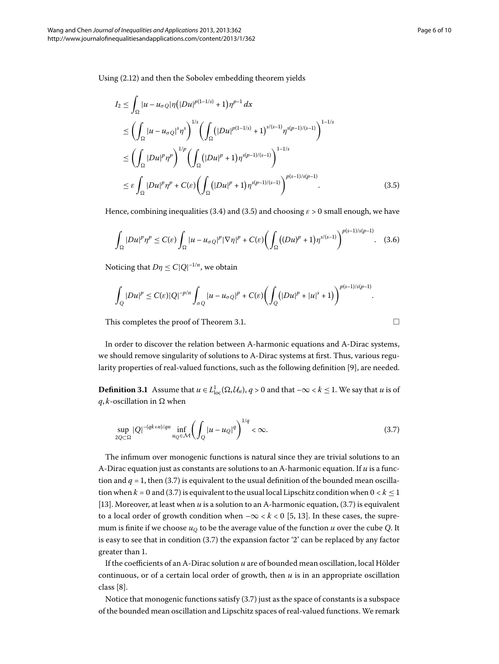Using (2[.](#page-3-4)12) and then the Sobolev embedding theorem yields

$$
I_2 \leq \int_{\Omega} |u - u_{\sigma Q}| \eta \left( |Du|^{p(1-1/s)} + 1 \right) \eta^{p-1} dx
$$
  
\n
$$
\leq \left( \int_{\Omega} |u - u_{\sigma Q}|^s \eta^s \right)^{1/s} \left( \int_{\Omega} \left( |Du|^{p(1-1/s)} + 1 \right)^{s/(s-1)} \eta^{s(p-1)/(s-1)} \right)^{1-1/s}
$$
  
\n
$$
\leq \left( \int_{\Omega} |Du|^p \eta^p \right)^{1/p} \left( \int_{\Omega} \left( |Du|^p + 1 \right) \eta^{s(p-1)/(s-1)} \right)^{1-1/s}
$$
  
\n
$$
\leq \varepsilon \int_{\Omega} |Du|^p \eta^p + C(\varepsilon) \left( \int_{\Omega} \left( |Du|^p + 1 \right) \eta^{s(p-1)/(s-1)} \right)^{p(s-1)/s(p-1)}.
$$
\n(3.5)

Hence, combining inequalities (3[.](#page-4-0)4) and (3.5) and choosing  $\varepsilon > 0$  small enough, we have

$$
\int_{\Omega} |Du|^p \eta^p \le C(\varepsilon) \int_{\Omega} |u - u_{\sigma Q}|^p |\nabla \eta|^p + C(\varepsilon) \biggl( \int_{\Omega} \bigl( (Du)^p + 1 \bigr) \eta^{s/(s-1)} \biggr)^{p(s-1)/s(p-1)} . \tag{3.6}
$$

Noticing that  $D\eta \leq C|Q|^{-1/n}$ , we obtain

$$
\int_Q |Du|^p \leq C(\varepsilon) |Q|^{-p/n} \int_{\sigma Q} |u - u_{\sigma Q}|^p + C(\varepsilon) \biggl( \int_Q (|Du|^p + |u|^s + 1) \biggr)^{p(s-1)/s(p-1)}.
$$

This completes the proof of Theorem 3[.](#page-4-1)1.  $\Box$ 

In order to discover the relation between A-harmonic equations and A-Dirac systems, we should remove singularity of solutions to A-Dirac systems at first. Thus, various regularity properties of real-valued functions, such as the following definition [9], are needed.

**Definition 3.1** Assume that  $u \in L^1_{loc}(\Omega, \mathcal{U}_n)$ ,  $q > 0$  and that  $-\infty < k \leq 1$ . We say that  $u$  is of  $q, k$ -oscillation in  $\Omega$  when

$$
\sup_{2Q \subset \Omega} |Q|^{-(qk+n)/qn} \inf_{u_Q \in \mathcal{M}} \left( \int_Q |u - u_Q|^q \right)^{1/q} < \infty. \tag{3.7}
$$

The infimum over monogenic functions is natural since they are trivial solutions to an A-Dirac equation just as constants are solutions to an A-harmonic equation. If *u* is a function and  $q = 1$ , then (3[.](#page-5-1)7) is equivalent to the usual definition of the bounded mean oscillation when  $k = 0$  and (3.7) is equivalent to the usual local Lipschitz condition when  $0 < k \leq 1$ [13[\]](#page-9-6). Moreover, at least when  $u$  is a solution to an A-harmonic equation,  $(3.7)$  is equivalent to a local order of growth condition when  $-\infty < k < 0$  [5[,](#page-9-7) 13[\]](#page-9-6). In these cases, the supremum is finite if we choose  $u<sub>O</sub>$  to be the average value of the function *u* over the cube *Q*. It is easy to see that in condition  $(3.7)$  the expansion factor '2' can be replaced by any factor greater than 1.

If the coefficients of an A-Dirac solution *u* are of bounded mean oscillation, local Hölder continuous, or of a certain local order of growth, then *u* is in an appropriate oscillation  $class [8]$  $class [8]$  $class [8]$ .

Notice that monogenic functions satisfy  $(3.7)$  just as the space of constants is a subspace of the bounded mean oscillation and Lipschitz spaces of real-valued functions. We remark

<span id="page-5-1"></span><span id="page-5-0"></span>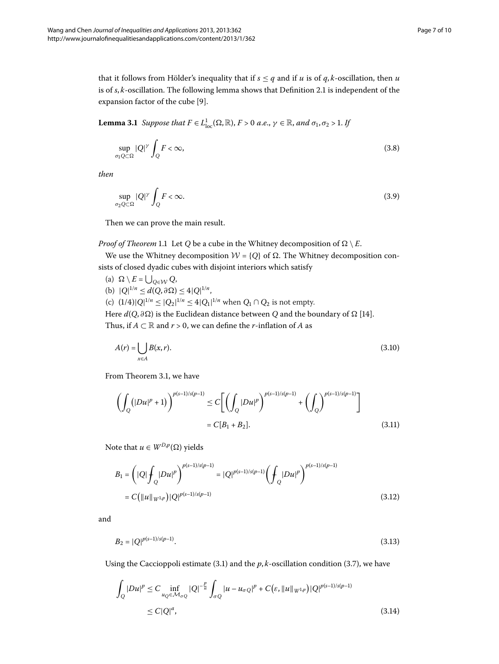that it follows from Hölder's inequality that if  $s \leq q$  and if *u* is of *q*, *k*-oscillation, then *u* is of *s*, *k*-oscillation[.](#page-3-5) The following lemma shows that Definition 2.1 is independent of the expansion factor of the cube [9].

**Lemma 3.1** Suppose that  $F \in L^1_{loc}(\Omega,\mathbb{R})$ ,  $F > 0$  a.e.,  $\gamma \in \mathbb{R}$ , and  $\sigma_1, \sigma_2 > 1$ . If

$$
\sup_{\sigma_1 Q \subset \Omega} |Q|^{\gamma} \int_Q F < \infty,\tag{3.8}
$$

*then*

$$
\sup_{\sigma_2 Q \subset \Omega} |Q|^{\gamma} \int_Q F < \infty. \tag{3.9}
$$

Then we can prove the main result.

### *Proof of Theorem* 1[.](#page-1-2)1 Let *Q* be a cube in the Whitney decomposition of  $\Omega \setminus E$ .

We use the Whitney decomposition  $W = \{Q\}$  of  $\Omega$ . The Whitney decomposition consists of closed dyadic cubes with disjoint interiors which satisfy

(a)  $\Omega \setminus E = \bigcup_{Q \in \mathcal{W}} Q$ ,  $|Q|^{1/n} \leq d(Q, \partial \Omega) \leq 4|Q|^{1/n}$ , (c)  $(1/4)|Q|^{1/n} \le |Q_2|^{1/n} \le 4|Q_1|^{1/n}$  when  $Q_1 \cap Q_2$  is not empty. Here  $d(Q, \partial \Omega)$  is the Euclidean distance between *Q* and the boundary of  $\Omega$  [14]. Thus, if  $A \subset \mathbb{R}$  and  $r > 0$ , we can define the *r*-inflation of A as

<span id="page-6-0"></span>
$$
A(r) = \bigcup_{x \in A} B(x, r). \tag{3.10}
$$

From Theorem 3[.](#page-4-1)1, we have

$$
\left(\int_{Q} (|Du|^{p} + 1) \right)^{p(s-1)/s(p-1)} \le C \left[ \left( \int_{Q} |Du|^{p} \right)^{p(s-1)/s(p-1)} + \left( \int_{Q} \right)^{p(s-1)/s(p-1)} \right]
$$
\n
$$
= C[B_{1} + B_{2}]. \tag{3.11}
$$

Note that  $u \in W^{D,p}(\Omega)$  yields

$$
B_1 = \left( |Q| \int_Q |Du|^p \right)^{p(s-1)/s(p-1)} = |Q|^{p(s-1)/s(p-1)} \left( \int_Q |Du|^p \right)^{p(s-1)/s(p-1)}
$$
  
=  $C(||u||_{W^{1,p}}) |Q|^{p(s-1)/s(p-1)}$  (3.12)

and

<span id="page-6-1"></span>
$$
B_2 = |Q|^{p(s-1)/s(p-1)}.\t(3.13)
$$

Using the Caccioppoli estimate (3.1) and the  $p, k$ -oscillation condition (3.7), we have

$$
\int_{Q} |Du|^{p} \leq C \inf_{u_{Q} \in \mathcal{M}_{\sigma Q}} |Q|^{-\frac{p}{n}} \int_{\sigma Q} |u - u_{\sigma Q}|^{p} + C(\varepsilon, \|u\|_{W^{1,p}}) |Q|^{p(s-1)/s(p-1)}
$$
\n
$$
\leq C|Q|^a,
$$
\n(3.14)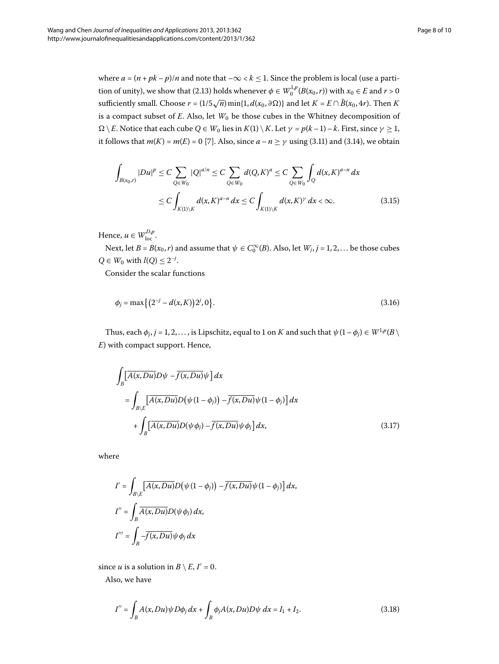where  $a = (n + pk - p)/n$  and note that  $-\infty < k \le 1$ . Since the problem is local (use a partition of unity), we show that (2.13) holds whenever  $\phi \in W_0^{1,p}(B(x_0,r))$  with  $x_0 \in E$  and  $r > 0$ sufficiently small. Choose  $r = (1/5\sqrt{n}) \min\{1, d(x_0, \partial \Omega)\}\$  and let  $K = E \cap \overline{B}(x_0, 4r)$ . Then K is a compact subset of  $E$ . Also, let  $W_0$  be those cubes in the Whitney decomposition of  $\Omega \setminus E$ . Notice that each cube  $Q \in W_0$  lies in  $K(1) \setminus K$ . Let  $\gamma = p(k-1) - k$ . First, since  $\gamma \geq 1$ , it follows that  $m(K) = m(E) = 0$  [\[](#page-9-5)7][.](#page-6-1) Also, since  $a - n \ge \gamma$  using (3.11) and (3.14), we obtain

$$
\int_{B(x_0,r)} |Du|^p \le C \sum_{Q \in W_0} |Q|^{a/n} \le C \sum_{Q \in W_0} d(Q,K)^a \le C \sum_{Q \in W_0} \int_Q d(x,K)^{a-n} dx
$$
\n
$$
\le C \int_{K(1)\backslash K} d(x,K)^{a-n} dx \le C \int_{K(1)\backslash K} d(x,K)^{\gamma} dx < \infty.
$$
\n(3.15)

Hence,  $u \in W^{D,p}_{loc}$ .

Next, let  $B = B(x_0, r)$  and assume that  $\psi \in C_0^{\infty}(B)$ . Also, let  $W_j$ ,  $j = 1, 2, ...$  be those cubes *Q* ∈ *W*<sub>0</sub> with *l*(*Q*) ≤  $2^{-j}$ .

Consider the scalar functions

$$
\phi_j = \max\left\{ \left( 2^{-j} - d(x, K) \right) 2^j, 0 \right\}.
$$
\n(3.16)

Thus, each  $\phi_j$ ,  $j = 1, 2, \ldots$ , is Lipschitz, equal to 1 on *K* and such that  $\psi(1 - \phi_j) \in W^{1,p}(B)$ *E*) with compact support. Hence,

$$
\int_{B} \left[ \overline{A(x, Du)} D\psi - \overline{f(x, Du)} \psi \right] dx
$$
\n
$$
= \int_{B \setminus E} \left[ \overline{A(x, Du)} D(\psi(1 - \phi_j)) - \overline{f(x, Du)} \psi(1 - \phi_j) \right] dx
$$
\n
$$
+ \int_{B} \left[ \overline{A(x, Du)} D(\psi \phi_j) - \overline{f(x, Du)} \psi \phi_j \right] dx,
$$
\n(3.17)

where

$$
I' = \int_{B \setminus E} \left[ \overline{A(x, Du)} D(\psi(1 - \phi_j)) - \overline{f(x, Du)} \psi(1 - \phi_j) \right] dx,
$$
  

$$
I'' = \int_{B} \overline{A(x, Du)} D(\psi \phi_j) dx,
$$
  

$$
I''' = \int_{B} -\overline{f(x, Du)} \psi \phi_j dx
$$

since *u* is a solution in  $B \setminus E$ ,  $I' = 0$ .

Also, we have

$$
I'' = \int_{B} A(x, Du)\psi D\phi_j dx + \int_{B} \phi_j A(x, Du) D\psi dx = I_1 + I_2.
$$
 (3.18)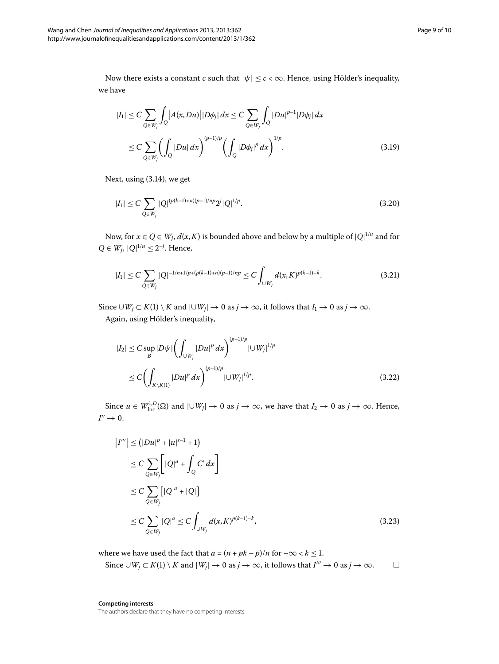Now there exists a constant *c* such that  $|\psi| \leq c < \infty$ . Hence, using Hölder's inequality, we have

$$
|I_{1}| \leq C \sum_{Q \in W_{j}} \int_{Q} |A(x, Du)| |D\phi_{j}| dx \leq C \sum_{Q \in W_{j}} \int_{Q} |Du|^{p-1} |D\phi_{j}| dx
$$
  

$$
\leq C \sum_{Q \in W_{j}} \left( \int_{Q} |Du| dx \right)^{(p-1)/p} \left( \int_{Q} |D\phi_{j}|^{p} dx \right)^{1/p} . \tag{3.19}
$$

Next, using  $(3.14)$ , we get

$$
|I_1| \le C \sum_{Q \in W_j} |Q|^{(p(k-1)+n)(p-1)/np} 2^j |Q|^{1/p}.
$$
\n(3.20)

Now, for  $x \in Q \in W_j$ ,  $d(x, K)$  is bounded above and below by a multiple of  $|Q|^{1/n}$  and for *Q* ∈ *W<sub>j</sub>*,  $|Q|^{1/n}$  ≤ 2<sup>-*j*</sup>. Hence,

$$
|I_1| \le C \sum_{Q \in W_j} |Q|^{-1/n + 1/p + (p(k-1) + n)(p-1)/np} \le C \int_{\cup W_j} d(x, K)^{p(k-1)-k}.
$$
 (3.21)

Since  $\cup W_j \subset K(1) \setminus K$  and  $|\cup W_j| \to 0$  as *j* → ∞, it follows that *I*<sub>1</sub> → 0 as *j* → ∞. Again, using Hölder's inequality,

$$
|I_2| \leq C \sup_B |D\psi| \left( \int_{\cup W_j} |Du|^p \, dx \right)^{(p-1)/p} |\cup W_j|^{1/p} \\
\leq C \left( \int_{K \setminus K(1)} |Du|^p \, dx \right)^{(p-1)/p} |\cup W_j|^{1/p}.\n\tag{3.22}
$$

Since  $u \in W^{1,D}_{loc}(\Omega)$  and  $|\cup W_j| \to 0$  as  $j \to \infty$ , we have that  $I_2 \to 0$  as  $j \to \infty$ . Hence,  $I'' \rightarrow 0.$ 

$$
|I'''| \le (|Du|^p + |u|^{s-1} + 1)
$$
  
\n
$$
\le C \sum_{Q \in W_j} \left[ |Q|^a + \int_Q C' dx \right]
$$
  
\n
$$
\le C \sum_{Q \in W_j} \left[ |Q|^a + |Q| \right]
$$
  
\n
$$
\le C \sum_{Q \in W_j} |Q|^a \le C \int_{\cup W_j} d(x, K)^{p(k-1)-k},
$$
\n(3.23)

where we have used the fact that  $a = (n + pk - p)/n$  for  $-\infty < k \leq 1$ .

Since 
$$
\cup W_j \subset K(1) \setminus K
$$
 and  $|W_j| \to 0$  as  $j \to \infty$ , it follows that  $I''' \to 0$  as  $j \to \infty$ .  $\square$ 

**Competing interests** The authors declare that they have no competing interests.